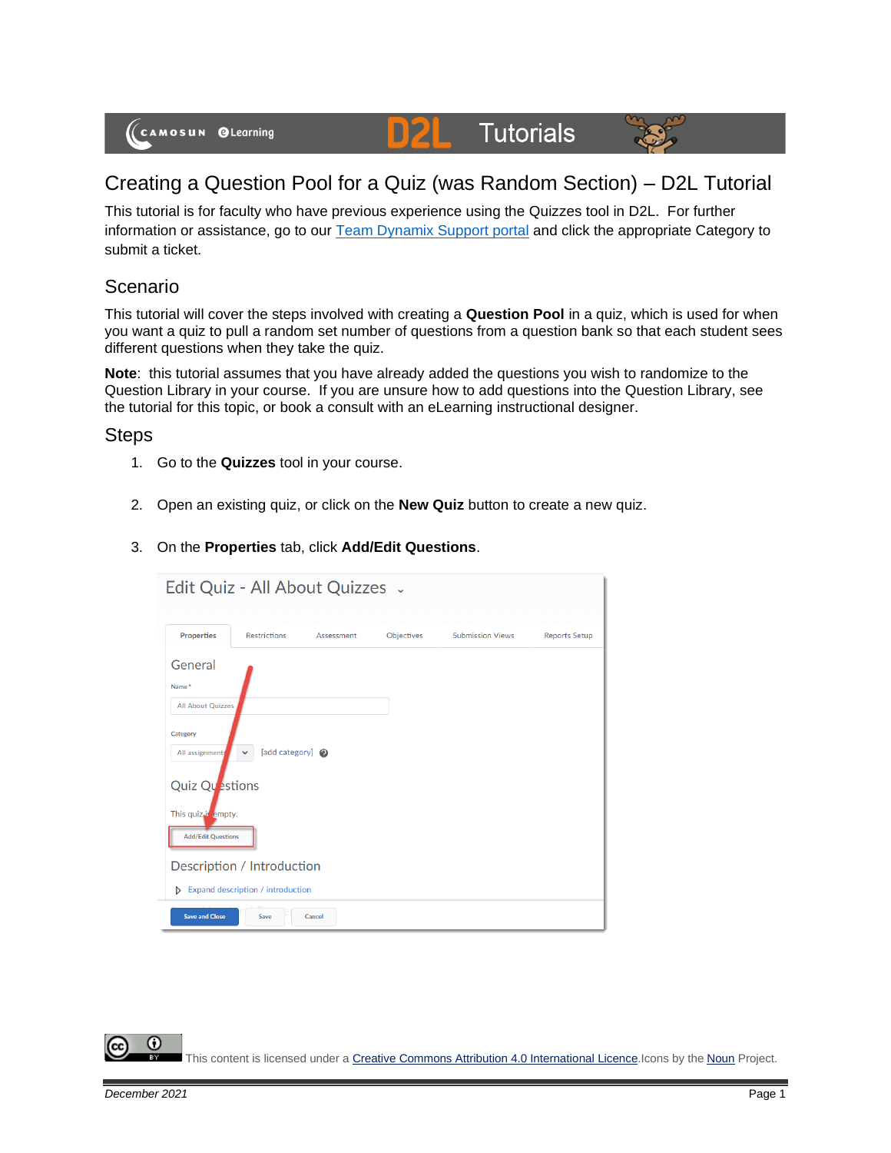(CAMOSUN @Learning

# **Tutorials**



## Creating a Question Pool for a Quiz (was Random Section) – D2L Tutorial

DZ

This tutorial is for faculty who have previous experience using the Quizzes tool in D2L. For further information or assistance, go to our [Team Dynamix Support portal](https://camosun.teamdynamix.com/TDClient/67/Portal/Requests/ServiceCatalog?CategoryID=523) and click the appropriate Category to submit a ticket.

#### Scenario

This tutorial will cover the steps involved with creating a **Question Pool** in a quiz, which is used for when you want a quiz to pull a random set number of questions from a question bank so that each student sees different questions when they take the quiz.

**Note**: this tutorial assumes that you have already added the questions you wish to randomize to the Question Library in your course. If you are unsure how to add questions into the Question Library, see the tutorial for this topic, or book a consult with an eLearning instructional designer.

#### Steps

- 1. Go to the **Quizzes** tool in your course.
- 2. Open an existing quiz, or click on the **New Quiz** button to create a new quiz.
- 3. On the **Properties** tab, click **Add/Edit Questions**.

| Edit Quiz - All About Quizzes .                                 |                     |            |            |                         |                      |  |  |
|-----------------------------------------------------------------|---------------------|------------|------------|-------------------------|----------------------|--|--|
| <b>Properties</b>                                               | <b>Restrictions</b> | Assessment | Objectives | <b>Submission Views</b> | <b>Reports Setup</b> |  |  |
| General<br>Name*<br>All About Quizzes                           |                     |            |            |                         |                      |  |  |
| Category<br>[add category] @<br>All assignments<br>$\checkmark$ |                     |            |            |                         |                      |  |  |
| Quiz Questions                                                  |                     |            |            |                         |                      |  |  |
| This quiz <sub>is</sub> empty.<br><b>Add/Edit Questions</b>     |                     |            |            |                         |                      |  |  |
| Description / Introduction                                      |                     |            |            |                         |                      |  |  |
| Expand description / introduction<br>Þ                          |                     |            |            |                         |                      |  |  |
| <b>Save and Close</b><br>Save<br>Cancel                         |                     |            |            |                         |                      |  |  |

G This content is licensed under [a Creative Commons Attribution 4.0 International Licence.I](https://creativecommons.org/licenses/by/4.0/)cons by the [Noun](https://creativecommons.org/website-icons/) Project.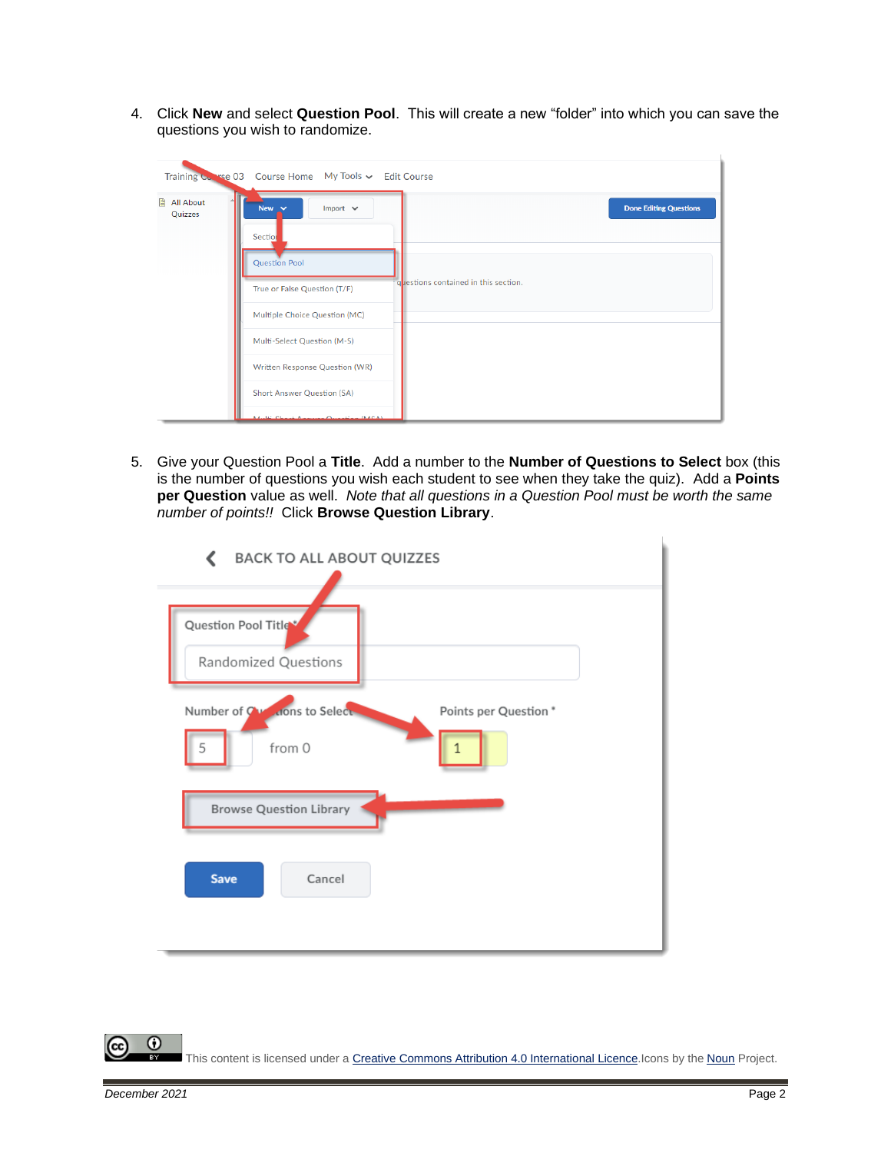4. Click **New** and select **Question Pool**. This will create a new "folder" into which you can save the questions you wish to randomize.

|                               | Training Corrected Course Home My Tools v Edit Course                                                                                                                                                                                    |                               |
|-------------------------------|------------------------------------------------------------------------------------------------------------------------------------------------------------------------------------------------------------------------------------------|-------------------------------|
| <b>■ All About</b><br>Quizzes | New $\sim$<br>Import $\sim$<br>Section<br><b>Question Pool</b><br>guestions contained in this section.<br>True or False Question (T/F)<br>Multiple Choice Question (MC)<br>Multi-Select Question (M-S)<br>Written Response Question (WR) | <b>Done Editing Questions</b> |
|                               | <b>Short Answer Question (SA)</b><br>Marile Charles August Occasion (MACA)                                                                                                                                                               |                               |

5. Give your Question Pool a **Title**. Add a number to the **Number of Questions to Select** box (this is the number of questions you wish each student to see when they take the quiz). Add a **Points per Question** value as well. *Note that all questions in a Question Pool must be worth the same number of points!!* Click **Browse Question Library**.



0 This content is licensed under [a Creative Commons Attribution 4.0 International Licence.I](https://creativecommons.org/licenses/by/4.0/)cons by the [Noun](https://creativecommons.org/website-icons/) Project.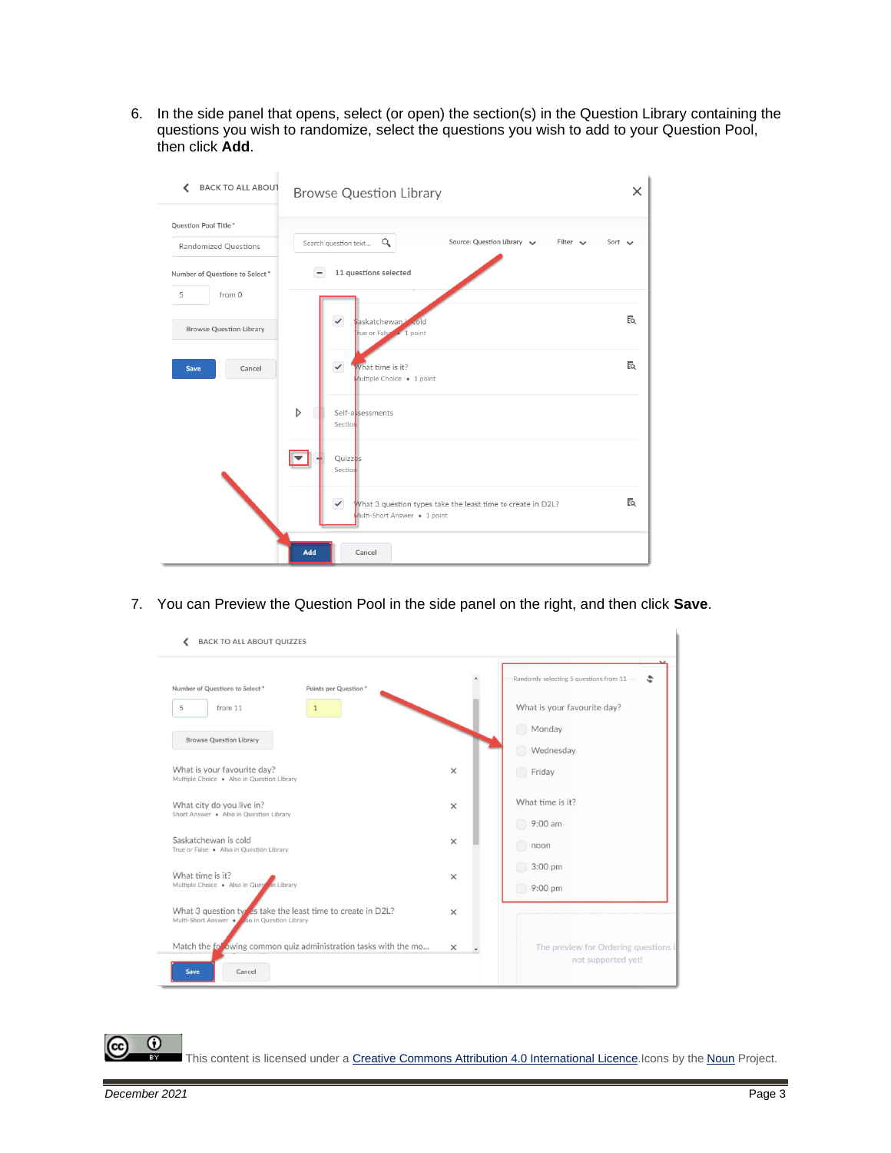6. In the side panel that opens, select (or open) the section(s) in the Question Library containing the questions you wish to randomize, select the questions you wish to add to your Question Pool, then click **Add**.

| <b>BACK TO ALL ABOUT</b>                                                       | <b>Browse Question Library</b>                                                                              | $\times$    |
|--------------------------------------------------------------------------------|-------------------------------------------------------------------------------------------------------------|-------------|
| Question Pool Title*<br>Randomized Questions<br>Number of Questions to Select* | Source: Question Library<br>Filter $\vee$<br>Q<br>Search question text<br>11 questions selected             | Sort $\vee$ |
| from 0<br>5                                                                    |                                                                                                             |             |
| <b>Browse Question Library</b>                                                 | $\checkmark$<br>saskatchewan <sup>1</sup> cold<br>rue or False . 1 point                                    | Eq.         |
| Cancel<br>Save                                                                 | $\checkmark$<br>What time is it?<br>Multiple Choice . 1 point                                               | Eq          |
|                                                                                | D<br>Self-assessments<br>Section                                                                            |             |
|                                                                                | Quizzes<br>Section                                                                                          |             |
|                                                                                | $\checkmark$<br>What 3 question types take the least time to create in D2L?<br>Multi-Short Answer . 1 point | EQ          |
|                                                                                | Add<br>Cancel                                                                                               |             |

7. You can Preview the Question Pool in the side panel on the right, and then click **Save**.



This content is licensed under [a Creative Commons Attribution 4.0 International Licence.I](https://creativecommons.org/licenses/by/4.0/)cons by the [Noun](https://creativecommons.org/website-icons/) Project.

 $\odot$